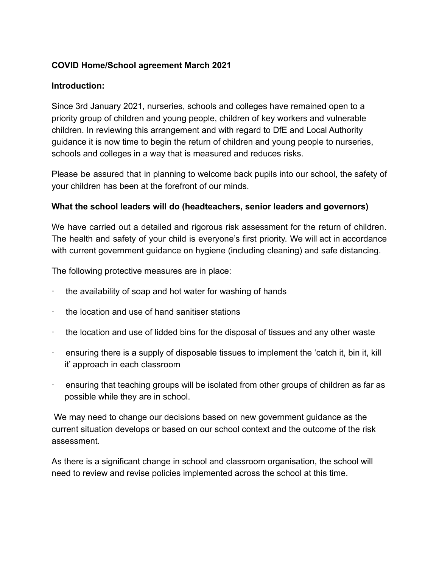# **COVID Home/School agreement March 2021**

#### **Introduction:**

Since 3rd January 2021, nurseries, schools and colleges have remained open to a priority group of children and young people, children of key workers and vulnerable children. In reviewing this arrangement and with regard to DfE and Local Authority guidance it is now time to begin the return of children and young people to nurseries, schools and colleges in a way that is measured and reduces risks.

Please be assured that in planning to welcome back pupils into our school, the safety of your children has been at the forefront of our minds.

#### **What the school leaders will do (headteachers, senior leaders and governors)**

We have carried out a detailed and rigorous risk assessment for the return of children. The health and safety of your child is everyone's first priority. We will act in accordance with current government guidance on hygiene (including cleaning) and safe distancing.

The following protective measures are in place:

- the availability of soap and hot water for washing of hands
- the location and use of hand sanitiser stations
- · the location and use of lidded bins for the disposal of tissues and any other waste
- · ensuring there is a supply of disposable tissues to implement the 'catch it, bin it, kill it' approach in each classroom
- · ensuring that teaching groups will be isolated from other groups of children as far as possible while they are in school.

We may need to change our decisions based on new government guidance as the current situation develops or based on our school context and the outcome of the risk assessment.

As there is a significant change in school and classroom organisation, the school will need to review and revise policies implemented across the school at this time.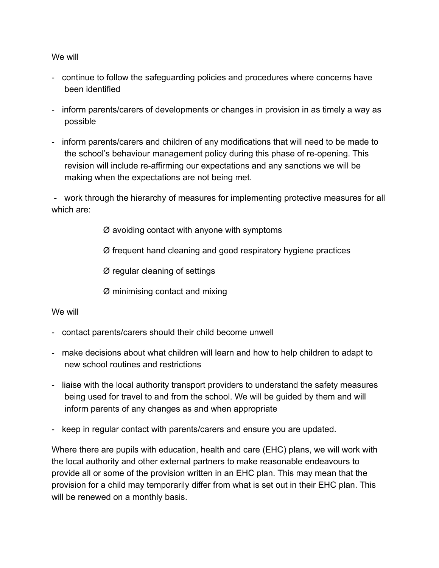We will

- continue to follow the safeguarding policies and procedures where concerns have been identified
- inform parents/carers of developments or changes in provision in as timely a way as possible
- inform parents/carers and children of any modifications that will need to be made to the school's behaviour management policy during this phase of re-opening. This revision will include re-affirming our expectations and any sanctions we will be making when the expectations are not being met.

- work through the hierarchy of measures for implementing protective measures for all which are:

Ø avoiding contact with anyone with symptoms

Ø frequent hand cleaning and good respiratory hygiene practices

Ø regular cleaning of settings

Ø minimising contact and mixing

### We will

- contact parents/carers should their child become unwell
- make decisions about what children will learn and how to help children to adapt to new school routines and restrictions
- liaise with the local authority transport providers to understand the safety measures being used for travel to and from the school. We will be guided by them and will inform parents of any changes as and when appropriate
- keep in regular contact with parents/carers and ensure you are updated.

Where there are pupils with education, health and care (EHC) plans, we will work with the local authority and other external partners to make reasonable endeavours to provide all or some of the provision written in an EHC plan. This may mean that the provision for a child may temporarily differ from what is set out in their EHC plan. This will be renewed on a monthly basis.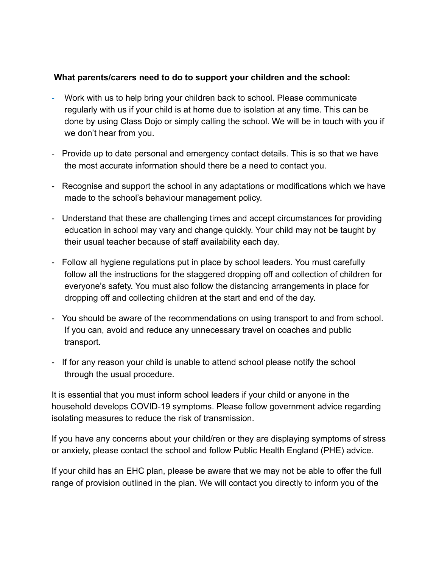### **What parents/carers need to do to support your children and the school:**

- Work with us to help bring your children back to school. Please communicate regularly with us if your child is at home due to isolation at any time. This can be done by using Class Dojo or simply calling the school. We will be in touch with you if we don't hear from you.
- Provide up to date personal and emergency contact details. This is so that we have the most accurate information should there be a need to contact you.
- Recognise and support the school in any adaptations or modifications which we have made to the school's behaviour management policy.
- Understand that these are challenging times and accept circumstances for providing education in school may vary and change quickly. Your child may not be taught by their usual teacher because of staff availability each day.
- Follow all hygiene regulations put in place by school leaders. You must carefully follow all the instructions for the staggered dropping off and collection of children for everyone's safety. You must also follow the distancing arrangements in place for dropping off and collecting children at the start and end of the day.
- You should be aware of the recommendations on using transport to and from school. If you can, avoid and reduce any unnecessary travel on coaches and public transport.
- If for any reason your child is unable to attend school please notify the school through the usual procedure.

It is essential that you must inform school leaders if your child or anyone in the household develops COVID-19 symptoms. Please follow government advice regarding isolating measures to reduce the risk of transmission.

If you have any concerns about your child/ren or they are displaying symptoms of stress or anxiety, please contact the school and follow Public Health England (PHE) advice.

If your child has an EHC plan, please be aware that we may not be able to offer the full range of provision outlined in the plan. We will contact you directly to inform you of the